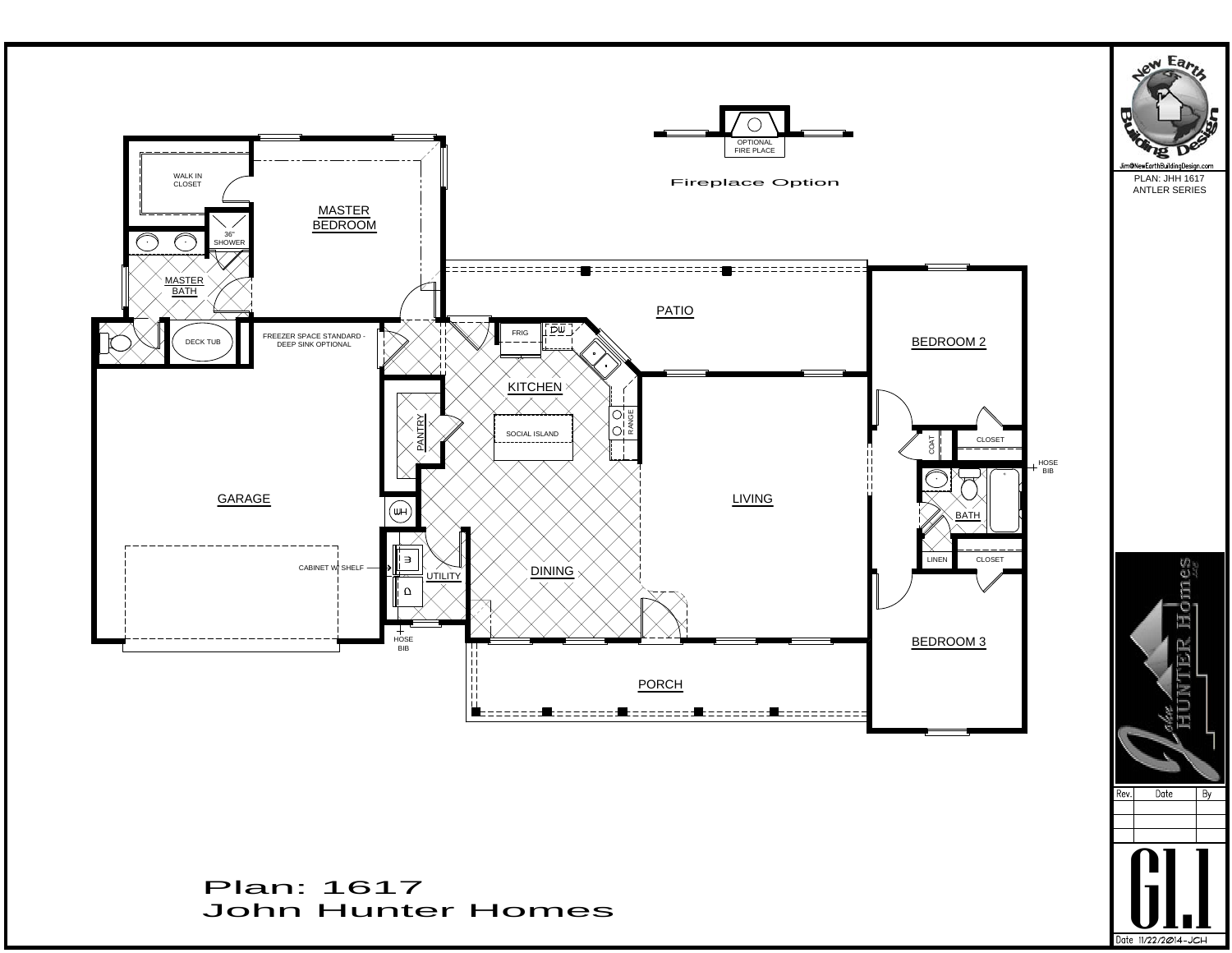

Date 11/22/2014-JCH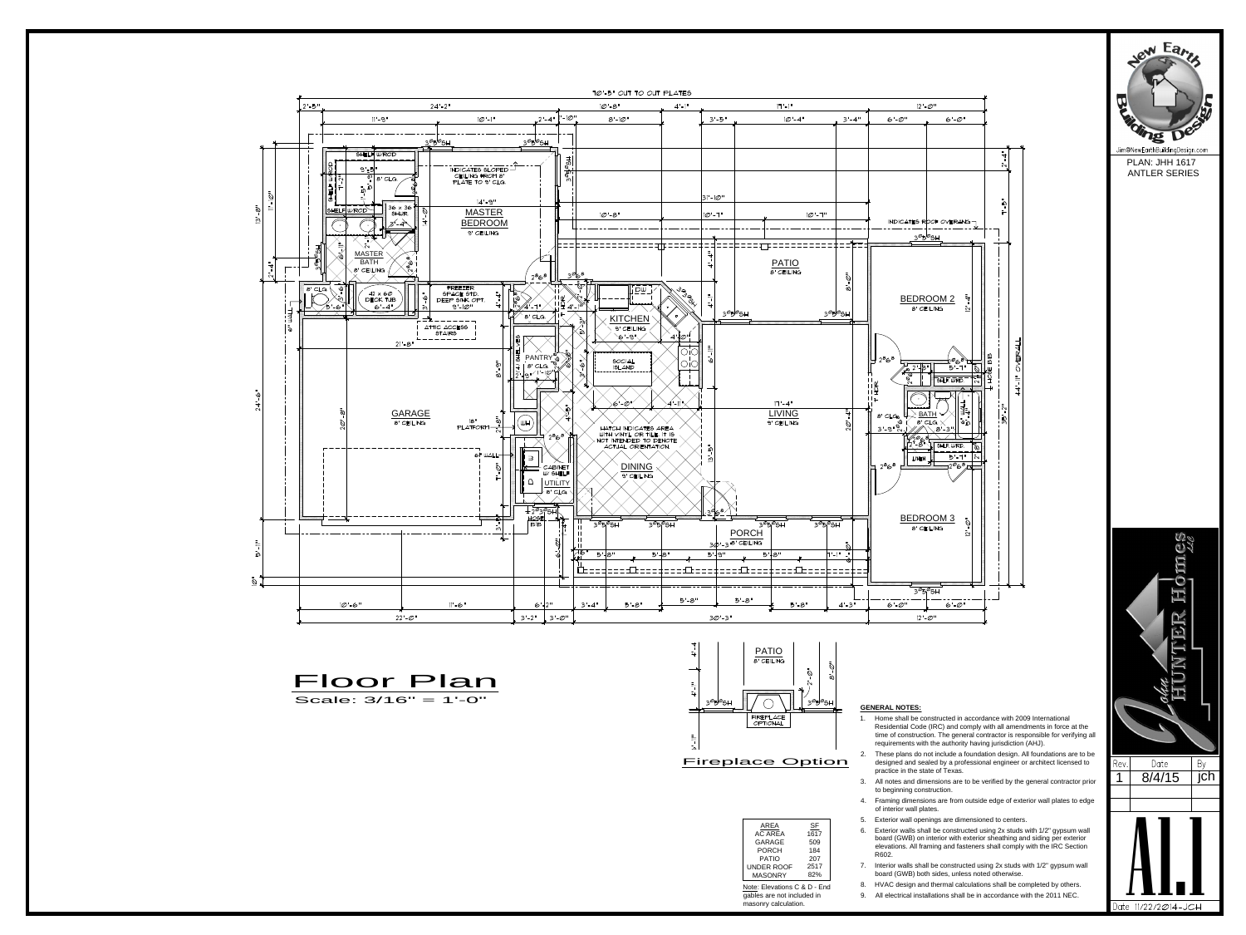



|                        |                   | 5.             | Ext        |
|------------------------|-------------------|----------------|------------|
| AREA<br><b>AC AREA</b> | <u>SF</u><br>1617 | 6.             | Ext<br>boa |
| GARAGE<br><b>PORCH</b> | 509<br>184        |                | ele        |
| <b>PATIO</b>           | 207               |                | R6         |
| UNDER ROOF             | 2517              | 7 <sub>1</sub> | Into       |
| <b>MASONRY</b>         | 82%               |                | boa        |
|                        |                   | ⌒              | .          |

## **GENERAL NOTES:**

- **GENERAL NOTES:**<br>
1. Home shall be constructed in accordance with 2009 International<br>
Residential Code (IRC) and comply with all amendments in force at the<br>
time of construction. The general contractor is responsible for v Residential Code (IRC) and comply with all amendments in force at the time of construction. The general contractor is responsible for verifying all requirements with the authority having jurisdiction (AHJ). **EENERAL NOTES:**<br>
1. Home shall be constructed in accordance with 2009 International<br>
Residential Code (IRC) and comply with all amendments in force at the<br>
time of construction. The general contractor is responsible for **GENERAL NOTES:**<br>
1. Home shall be constructed in accordance with 2009 International<br>
Residential Code (IRC) and comply with all amendments in force at the<br>
time of construction. The general contractor is responsible for 1. Home shall be constructed in accordance with 2009 International<br>
Residential Code (IRC) and comply with all amendments in force at the<br>
time of construction. The general contractor is responsible for verifying all<br>
req
- designed and sealed by a professional engineer or architect licensed to Rev. Date practice in the state of Texas. time of construction. The general contractor is responsible to<br>requirements with the authority having jurisdiction (AHJ).<br>2. These plans do not include a foundation design. All foundation<br>designed and sealed by a professio
- to beginning construction.
- of interior wall plates.
- 
- Frame plane and shall be constructed using 2x studs with the IRC Section<br>
16. These plans do not include a foundation design. All foundations are to be<br>
designed and sealed by a professional engineer or architect licensed board (GWB) on interior with exterior sheathing and siding per exterior elevations. All framing and fasteners shall comply with the IRC Section R602. 7. Interior walls shall be constructed using 2x studs with 1/2" gypsum wall<br>
1. Herming dimensions are from outside edge of exterior wall plates to edge<br>
1. Exterior wall plates.<br>
5. Exterior walls shall be constructed usi Framing dimensions are from outside edge of exterior wall plates to edge<br>of interior wall plates.<br>5. Exterior walls shall be constructed using 2x studs with 1/2" gypsum wall<br>board (GWB) on interior with exterior sheathing 9. Exterior wall openings are dimensioned to centers.<br>
9. Exterior walls shall be constructed using 2x studs with 1/2" gypsum wall<br>
board (GWB) on interior with exterior sheathing and siding per exterior<br>
elevations. All f
- 7. Interior walls shall be constructed using 2x studs with 1/2" gypsum wall 82% board (GWB) both sides, unless noted otherwise.
- Note: Elevations C & D End 8. HVAC design and thermal calculations shall be completed by others.
- gables are not included in 9. All electrical installations shall be in accordance with the 2011 NEC.





masonry calculation.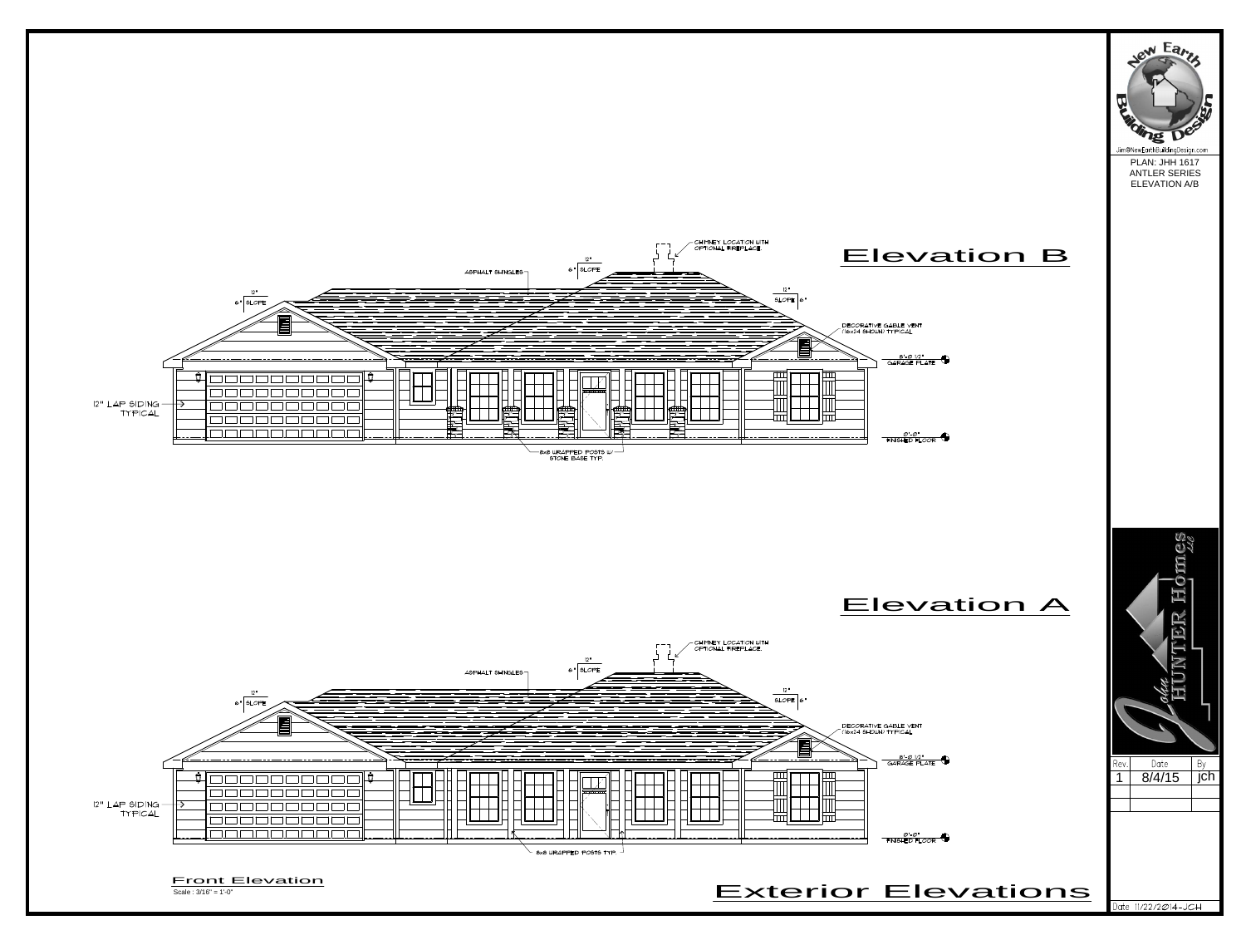